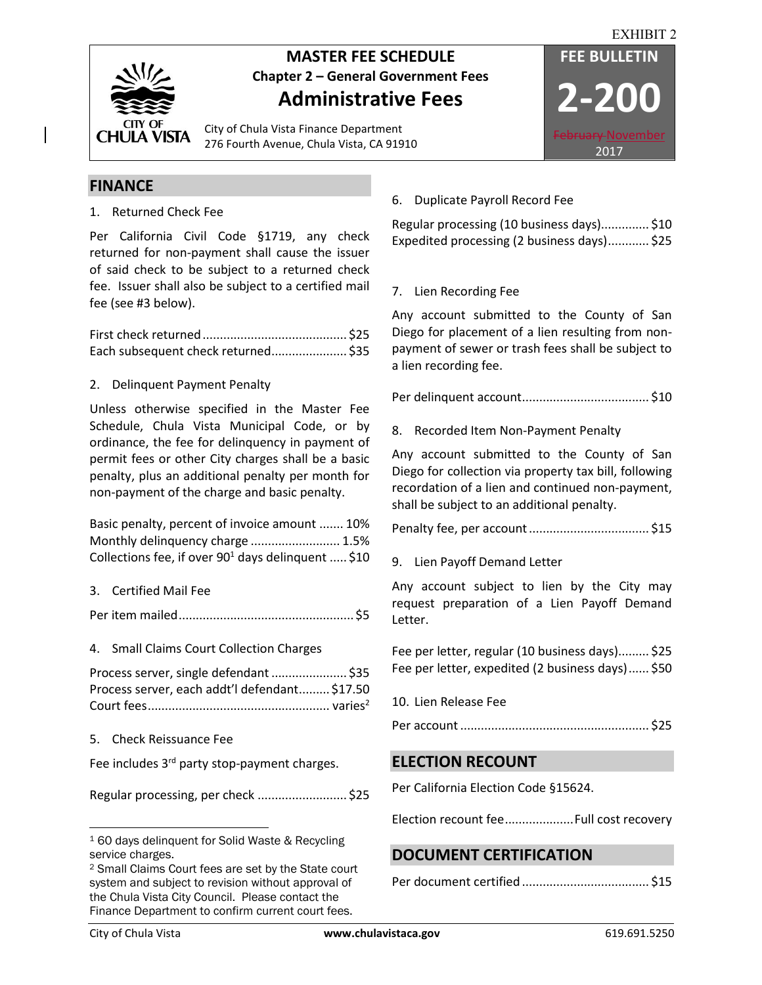

# **MASTER FEE SCHEDULE FEE BULLETIN Chapter 2 – General Government Fees Administrative Fees**

City of Chula Vista Finance Department 276 Fourth Avenue, Chula Vista, CA 91910



### **FINANCE**

1. Returned Check Fee

Per California Civil Code §1719, any check returned for non-payment shall cause the issuer of said check to be subject to a returned check fee. Issuer shall also be subject to a certified mail fee (see #3 below).

First check returned.......................................... \$25 Each subsequent check returned...................... \$35

#### 2. Delinquent Payment Penalty

Unless otherwise specified in the Master Fee Schedule, Chula Vista Municipal Code, or by ordinance, the fee for delinquency in payment of permit fees or other City charges shall be a basic penalty, plus an additional penalty per month for non-payment of the charge and basic penalty.

| Basic penalty, percent of invoice amount  10%         |  |
|-------------------------------------------------------|--|
| Monthly delinquency charge  1.5%                      |  |
| Collections fee, if over $90^1$ days delinguent  \$10 |  |

3. Certified Mail Fee

Per item mailed................................................... \$5

4. Small Claims Court Collection Charges

| Process server, single defendant  \$35        |  |
|-----------------------------------------------|--|
| Process server, each addt'l defendant \$17.50 |  |
|                                               |  |

5. Check Reissuance Fee

Fee includes 3<sup>rd</sup> party stop-payment charges.

Regular processing, per check .......................... \$25

## 6. Duplicate Payroll Record Fee

Regular processing (10 business days).............. \$10 Expedited processing (2 business days)............ \$25

### 7. Lien Recording Fee

Any account submitted to the County of San Diego for placement of a lien resulting from nonpayment of sewer or trash fees shall be subject to a lien recording fee.

Per delinquent account..................................... \$10

### 8. Recorded Item Non-Payment Penalty

Any account submitted to the County of San Diego for collection via property tax bill, following recordation of a lien and continued non-payment, shall be subject to an additional penalty.

Penalty fee, per account................................... \$15

9. Lien Payoff Demand Letter

Any account subject to lien by the City may request preparation of a Lien Payoff Demand Letter.

Fee per letter, regular (10 business days)......... \$25 Fee per letter, expedited (2 business days)...... \$50

10. Lien Release Fee

Per account....................................................... \$25

### **ELECTION RECOUNT**

Per California Election Code §15624.

Election recount fee....................Full cost recovery

## **DOCUMENT CERTIFICATION**

Per document certified ..................................... \$15

l

<sup>1</sup> 60 days delinquent for Solid Waste & Recycling service charges.

<sup>2</sup> Small Claims Court fees are set by the State court system and subject to revision without approval of the Chula Vista City Council. Please contact the Finance Department to confirm current court fees.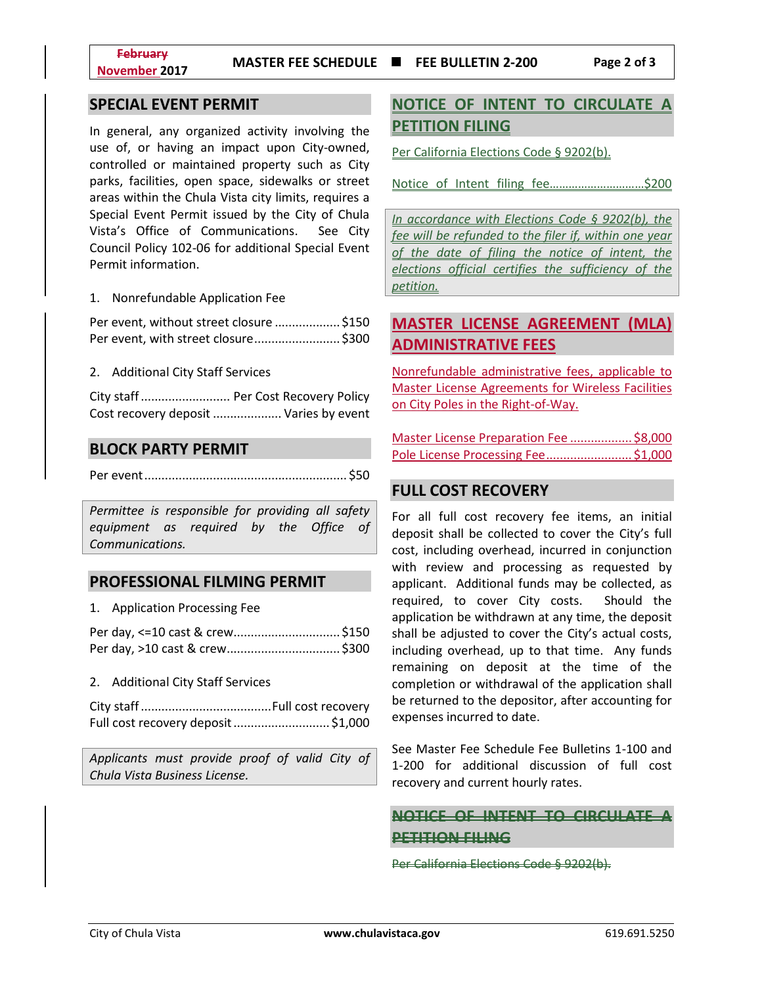### **SPECIAL EVENT PERMIT**

In general, any organized activity involving the use of, or having an impact upon City-owned, controlled or maintained property such as City parks, facilities, open space, sidewalks or street areas within the Chula Vista city limits, requires a Special Event Permit issued by the City of Chula Vista's Office of Communications. See City Council Policy 102-06 for additional Special Event Permit information.

1. Nonrefundable Application Fee

Per event, without street closure ................... \$150 Per event, with street closure......................... \$300

2. Additional City Staff Services

City staff.......................... Per Cost Recovery Policy Cost recovery deposit .................... Varies by event

#### **BLOCK PARTY PERMIT**

Per event........................................................... \$50

*Permittee is responsible for providing all safety equipment as required by the Office of Communications.*

#### **PROFESSIONAL FILMING PERMIT**

| -4 |  | <b>Application Processing Fee</b> |
|----|--|-----------------------------------|
|----|--|-----------------------------------|

| Per day, <=10 cast & crew\$150 |  |
|--------------------------------|--|
|                                |  |

#### 2. Additional City Staff Services

| Full cost recovery deposit  \$1,000 |  |
|-------------------------------------|--|

*Applicants must provide proof of valid City of Chula Vista Business License.*

## **NOTICE OF INTENT TO CIRCULATE A PETITION FILING**

Per California Elections Code § 9202(b).

Notice of Intent filing fee…………………………\$200

*In accordance with Elections Code § 9202(b), the fee will be refunded to the filer if, within one year of the date of filing the notice of intent, the elections official certifies the sufficiency of the petition.*

## **MASTER LICENSE AGREEMENT (MLA) ADMINISTRATIVE FEES**

Nonrefundable administrative fees, applicable to Master License Agreements for Wireless Facilities on City Poles in the Right-of-Way.

Master License Preparation Fee .................. \$8,000 Pole License Processing Fee......................... \$1,000

#### **FULL COST RECOVERY**

For all full cost recovery fee items, an initial deposit shall be collected to cover the City's full cost, including overhead, incurred in conjunction with review and processing as requested by applicant. Additional funds may be collected, as required, to cover City costs. Should the application be withdrawn at any time, the deposit shall be adjusted to cover the City's actual costs, including overhead, up to that time. Any funds remaining on deposit at the time of the completion or withdrawal of the application shall be returned to the depositor, after accounting for expenses incurred to date.

See Master Fee Schedule Fee Bulletins 1-100 and 1-200 for additional discussion of full cost recovery and current hourly rates.

**NOTICE OF INTENT TO CIRCULATE A PETITION FILING**

Per California Elections Code § 9202(b).